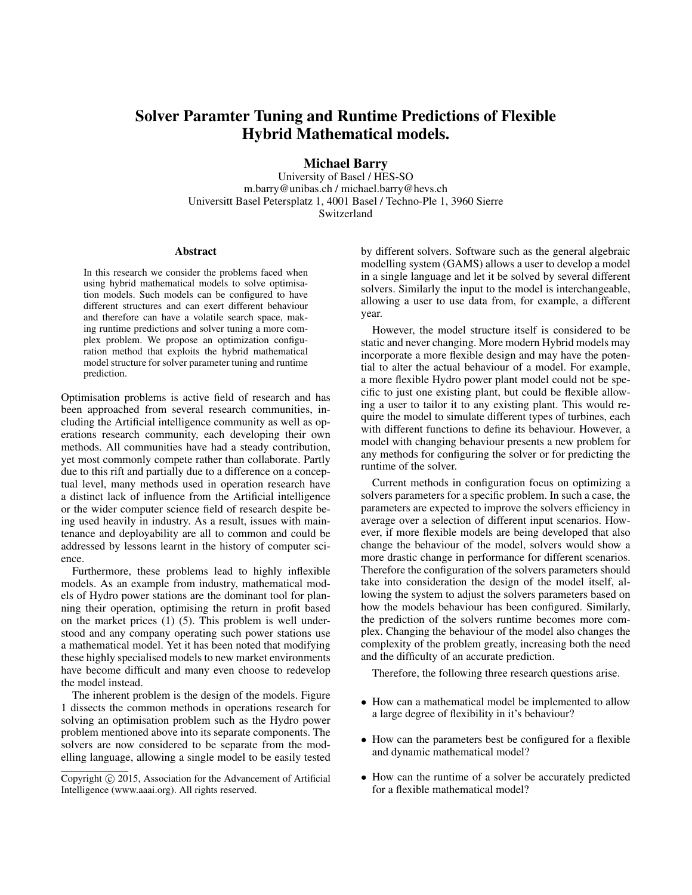# Solver Paramter Tuning and Runtime Predictions of Flexible Hybrid Mathematical models.

Michael Barry

University of Basel / HES-SO m.barry@unibas.ch / michael.barry@hevs.ch Universitt Basel Petersplatz 1, 4001 Basel / Techno-Ple 1, 3960 Sierre Switzerland

#### Abstract

In this research we consider the problems faced when using hybrid mathematical models to solve optimisation models. Such models can be configured to have different structures and can exert different behaviour and therefore can have a volatile search space, making runtime predictions and solver tuning a more complex problem. We propose an optimization configuration method that exploits the hybrid mathematical model structure for solver parameter tuning and runtime prediction.

Optimisation problems is active field of research and has been approached from several research communities, including the Artificial intelligence community as well as operations research community, each developing their own methods. All communities have had a steady contribution, yet most commonly compete rather than collaborate. Partly due to this rift and partially due to a difference on a conceptual level, many methods used in operation research have a distinct lack of influence from the Artificial intelligence or the wider computer science field of research despite being used heavily in industry. As a result, issues with maintenance and deployability are all to common and could be addressed by lessons learnt in the history of computer science.

Furthermore, these problems lead to highly inflexible models. As an example from industry, mathematical models of Hydro power stations are the dominant tool for planning their operation, optimising the return in profit based on the market prices (1) (5). This problem is well understood and any company operating such power stations use a mathematical model. Yet it has been noted that modifying these highly specialised models to new market environments have become difficult and many even choose to redevelop the model instead.

The inherent problem is the design of the models. Figure 1 dissects the common methods in operations research for solving an optimisation problem such as the Hydro power problem mentioned above into its separate components. The solvers are now considered to be separate from the modelling language, allowing a single model to be easily tested

by different solvers. Software such as the general algebraic modelling system (GAMS) allows a user to develop a model in a single language and let it be solved by several different solvers. Similarly the input to the model is interchangeable, allowing a user to use data from, for example, a different year.

However, the model structure itself is considered to be static and never changing. More modern Hybrid models may incorporate a more flexible design and may have the potential to alter the actual behaviour of a model. For example, a more flexible Hydro power plant model could not be specific to just one existing plant, but could be flexible allowing a user to tailor it to any existing plant. This would require the model to simulate different types of turbines, each with different functions to define its behaviour. However, a model with changing behaviour presents a new problem for any methods for configuring the solver or for predicting the runtime of the solver.

Current methods in configuration focus on optimizing a solvers parameters for a specific problem. In such a case, the parameters are expected to improve the solvers efficiency in average over a selection of different input scenarios. However, if more flexible models are being developed that also change the behaviour of the model, solvers would show a more drastic change in performance for different scenarios. Therefore the configuration of the solvers parameters should take into consideration the design of the model itself, allowing the system to adjust the solvers parameters based on how the models behaviour has been configured. Similarly, the prediction of the solvers runtime becomes more complex. Changing the behaviour of the model also changes the complexity of the problem greatly, increasing both the need and the difficulty of an accurate prediction.

Therefore, the following three research questions arise.

- How can a mathematical model be implemented to allow a large degree of flexibility in it's behaviour?
- How can the parameters best be configured for a flexible and dynamic mathematical model?
- How can the runtime of a solver be accurately predicted for a flexible mathematical model?

Copyright (c) 2015, Association for the Advancement of Artificial Intelligence (www.aaai.org). All rights reserved.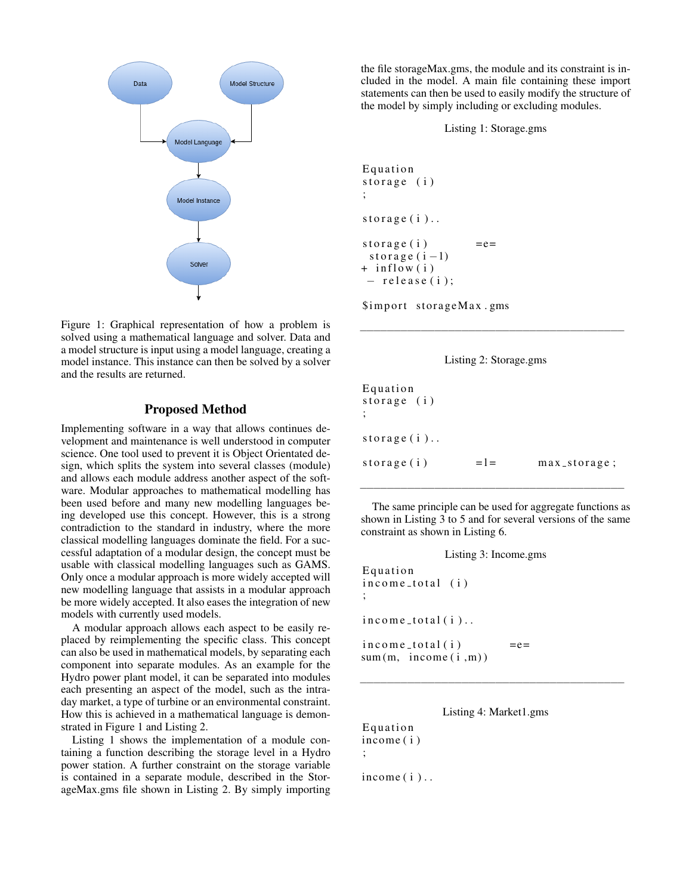

Figure 1: Graphical representation of how a problem is solved using a mathematical language and solver. Data and a model structure is input using a model language, creating a model instance. This instance can then be solved by a solver and the results are returned.

## Proposed Method

Implementing software in a way that allows continues development and maintenance is well understood in computer science. One tool used to prevent it is Object Orientated design, which splits the system into several classes (module) and allows each module address another aspect of the software. Modular approaches to mathematical modelling has been used before and many new modelling languages being developed use this concept. However, this is a strong contradiction to the standard in industry, where the more classical modelling languages dominate the field. For a successful adaptation of a modular design, the concept must be usable with classical modelling languages such as GAMS. Only once a modular approach is more widely accepted will new modelling language that assists in a modular approach be more widely accepted. It also eases the integration of new models with currently used models.

A modular approach allows each aspect to be easily replaced by reimplementing the specific class. This concept can also be used in mathematical models, by separating each component into separate modules. As an example for the Hydro power plant model, it can be separated into modules each presenting an aspect of the model, such as the intraday market, a type of turbine or an environmental constraint. How this is achieved in a mathematical language is demonstrated in Figure 1 and Listing 2.

Listing 1 shows the implementation of a module containing a function describing the storage level in a Hydro power station. A further constraint on the storage variable is contained in a separate module, described in the StorageMax.gms file shown in Listing 2. By simply importing

the file storageMax.gms, the module and its constraint is included in the model. A main file containing these import statements can then be used to easily modify the structure of the model by simply including or excluding modules.

Listing 1: Storage.gms

```
Equation
storage (i)
;
storage(i)..
storage (i) = = e=storage (i - 1)+ in flow (i)- release (i);
```
\$import storageMax.gms



−−−−−−−−−−−−−−−−−−−−−−−−−−−−−−−−−−−−−−−

| Equation      |         |                   |
|---------------|---------|-------------------|
| storage $(i)$ |         |                   |
|               |         |                   |
|               |         |                   |
| storage $(i)$ |         |                   |
|               |         |                   |
| storage $(i)$ | $=$ $=$ | $max_ - storage;$ |

The same principle can be used for aggregate functions as shown in Listing 3 to 5 and for several versions of the same constraint as shown in Listing 6.

−−−−−−−−−−−−−−−−−−−−−−−−−−−−−−−−−−−−−−−

| Listing 3: Income.gms                                   |  |
|---------------------------------------------------------|--|
| Equation<br>income_total (i)<br>$\ddot{\cdot}$          |  |
| $income\_total(i).$                                     |  |
| $income\_total(i)$<br>$=$ e $=$<br>sum(m, income(i, m)) |  |



−−−−−−−−−−−−−−−−−−−−−−−−−−−−−−−−−−−−−−−

**Equation** income ( i ) ;

 $income(i)$ ...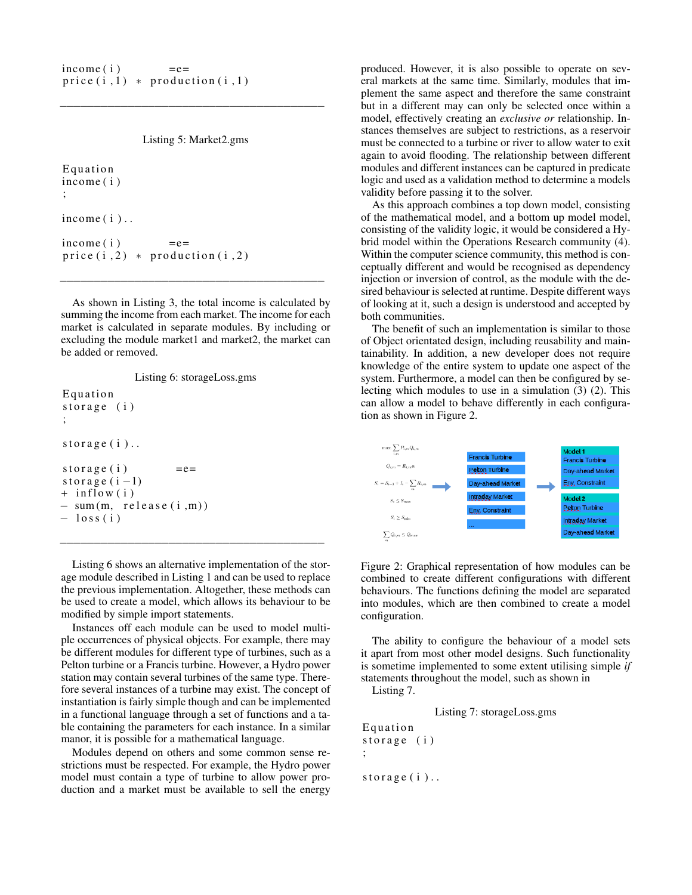```
\text{income}(\text{i}) = e=
price(i, 1) * production(i, 1)
```
Listing 5: Market2.gms

−−−−−−−−−−−−−−−−−−−−−−−−−−−−−−−−−−−−−−−

```
Equation
income ( i )
;
income(i)..
income(i) =e=
price(i, 2) * production(i, 2)
```
As shown in Listing 3, the total income is calculated by summing the income from each market. The income for each market is calculated in separate modules. By including or excluding the module market1 and market2, the market can be added or removed.

−−−−−−−−−−−−−−−−−−−−−−−−−−−−−−−−−−−−−−−

```
Listing 6: storageLoss.gms
Equation
storage (i);
storage(i)..
storage (i) =e=
storage (i - 1)+ in flow (i)- sum (m, release (i, m))- loss(i)
```
Listing 6 shows an alternative implementation of the storage module described in Listing 1 and can be used to replace the previous implementation. Altogether, these methods can be used to create a model, which allows its behaviour to be modified by simple import statements.

−−−−−−−−−−−−−−−−−−−−−−−−−−−−−−−−−−−−−−−

Instances off each module can be used to model multiple occurrences of physical objects. For example, there may be different modules for different type of turbines, such as a Pelton turbine or a Francis turbine. However, a Hydro power station may contain several turbines of the same type. Therefore several instances of a turbine may exist. The concept of instantiation is fairly simple though and can be implemented in a functional language through a set of functions and a table containing the parameters for each instance. In a similar manor, it is possible for a mathematical language.

Modules depend on others and some common sense restrictions must be respected. For example, the Hydro power model must contain a type of turbine to allow power production and a market must be available to sell the energy

produced. However, it is also possible to operate on several markets at the same time. Similarly, modules that implement the same aspect and therefore the same constraint but in a different may can only be selected once within a model, effectively creating an *exclusive or* relationship. Instances themselves are subject to restrictions, as a reservoir must be connected to a turbine or river to allow water to exit again to avoid flooding. The relationship between different modules and different instances can be captured in predicate logic and used as a validation method to determine a models validity before passing it to the solver.

As this approach combines a top down model, consisting of the mathematical model, and a bottom up model model, consisting of the validity logic, it would be considered a Hybrid model within the Operations Research community (4). Within the computer science community, this method is conceptually different and would be recognised as dependency injection or inversion of control, as the module with the desired behaviour is selected at runtime. Despite different ways of looking at it, such a design is understood and accepted by both communities.

The benefit of such an implementation is similar to those of Object orientated design, including reusability and maintainability. In addition, a new developer does not require knowledge of the entire system to update one aspect of the system. Furthermore, a model can then be configured by selecting which modules to use in a simulation (3) (2). This can allow a model to behave differently in each configuration as shown in Figure 2.



Figure 2: Graphical representation of how modules can be combined to create different configurations with different behaviours. The functions defining the model are separated into modules, which are then combined to create a model configuration.

The ability to configure the behaviour of a model sets it apart from most other model designs. Such functionality is sometime implemented to some extent utilising simple *if* statements throughout the model, such as shown in

Listing 7.

Listing 7: storageLoss.gms

**Equation** storage (i) ; storage $(i)$ ..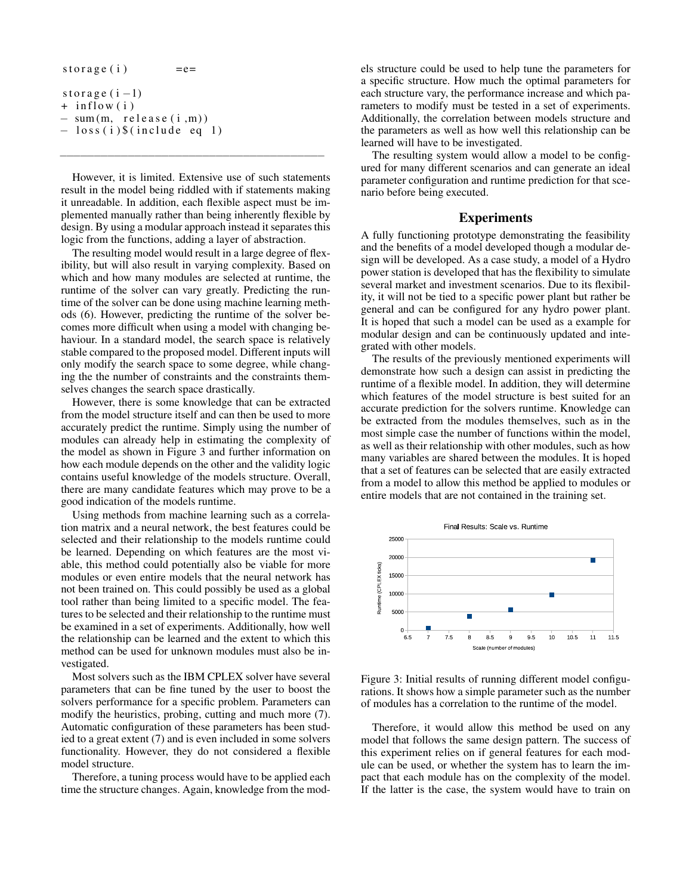| storage $(i)$                    |  |
|----------------------------------|--|
| storage $(i-1)$                  |  |
| $+$ inflow (i)                   |  |
| $-$ sum $(m,$ release $(i, m)$ ) |  |
| $-$ loss (i) \$ (include eq 1)   |  |

However, it is limited. Extensive use of such statements result in the model being riddled with if statements making it unreadable. In addition, each flexible aspect must be implemented manually rather than being inherently flexible by design. By using a modular approach instead it separates this logic from the functions, adding a layer of abstraction.

−−−−−−−−−−−−−−−−−−−−−−−−−−−−−−−−−−−−−−−

The resulting model would result in a large degree of flexibility, but will also result in varying complexity. Based on which and how many modules are selected at runtime, the runtime of the solver can vary greatly. Predicting the runtime of the solver can be done using machine learning methods (6). However, predicting the runtime of the solver becomes more difficult when using a model with changing behaviour. In a standard model, the search space is relatively stable compared to the proposed model. Different inputs will only modify the search space to some degree, while changing the the number of constraints and the constraints themselves changes the search space drastically.

However, there is some knowledge that can be extracted from the model structure itself and can then be used to more accurately predict the runtime. Simply using the number of modules can already help in estimating the complexity of the model as shown in Figure 3 and further information on how each module depends on the other and the validity logic contains useful knowledge of the models structure. Overall, there are many candidate features which may prove to be a good indication of the models runtime.

Using methods from machine learning such as a correlation matrix and a neural network, the best features could be selected and their relationship to the models runtime could be learned. Depending on which features are the most viable, this method could potentially also be viable for more modules or even entire models that the neural network has not been trained on. This could possibly be used as a global tool rather than being limited to a specific model. The features to be selected and their relationship to the runtime must be examined in a set of experiments. Additionally, how well the relationship can be learned and the extent to which this method can be used for unknown modules must also be investigated.

Most solvers such as the IBM CPLEX solver have several parameters that can be fine tuned by the user to boost the solvers performance for a specific problem. Parameters can modify the heuristics, probing, cutting and much more (7). Automatic configuration of these parameters has been studied to a great extent (7) and is even included in some solvers functionality. However, they do not considered a flexible model structure.

Therefore, a tuning process would have to be applied each time the structure changes. Again, knowledge from the models structure could be used to help tune the parameters for a specific structure. How much the optimal parameters for each structure vary, the performance increase and which parameters to modify must be tested in a set of experiments. Additionally, the correlation between models structure and the parameters as well as how well this relationship can be learned will have to be investigated.

The resulting system would allow a model to be configured for many different scenarios and can generate an ideal parameter configuration and runtime prediction for that scenario before being executed.

### Experiments

A fully functioning prototype demonstrating the feasibility and the benefits of a model developed though a modular design will be developed. As a case study, a model of a Hydro power station is developed that has the flexibility to simulate several market and investment scenarios. Due to its flexibility, it will not be tied to a specific power plant but rather be general and can be configured for any hydro power plant. It is hoped that such a model can be used as a example for modular design and can be continuously updated and integrated with other models.

The results of the previously mentioned experiments will demonstrate how such a design can assist in predicting the runtime of a flexible model. In addition, they will determine which features of the model structure is best suited for an accurate prediction for the solvers runtime. Knowledge can be extracted from the modules themselves, such as in the most simple case the number of functions within the model, as well as their relationship with other modules, such as how many variables are shared between the modules. It is hoped that a set of features can be selected that are easily extracted from a model to allow this method be applied to modules or entire models that are not contained in the training set.



Figure 3: Initial results of running different model configurations. It shows how a simple parameter such as the number of modules has a correlation to the runtime of the model.

Therefore, it would allow this method be used on any model that follows the same design pattern. The success of this experiment relies on if general features for each module can be used, or whether the system has to learn the impact that each module has on the complexity of the model. If the latter is the case, the system would have to train on